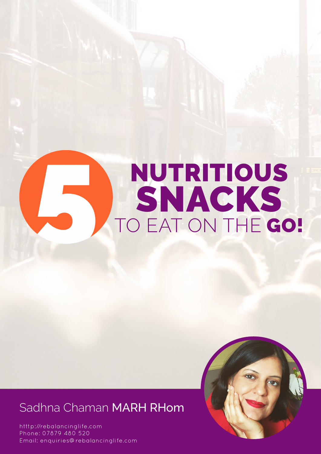# NUTRITIOUS SNACKS TO EAT ON THE GO!

# Sadhna Chaman MARH RHom

[http://rebalancinglife.com](http://rebalancinglife.com/) htttp://rebalancinglife.com Phone: 07879 480 520 Phone: 07879 480 520 Email: enquiries@rebalancinglife.com Email: enquiries@rebalancinglife.com

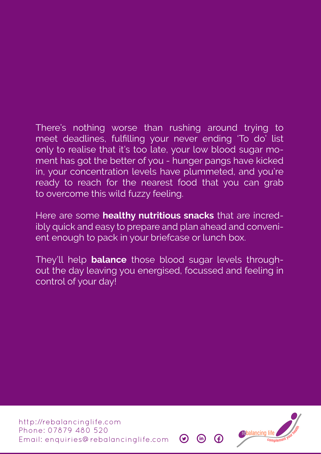There's nothing worse than rushing around trying to meet deadlines, fulfilling your never ending 'To do' list only to realise that it's too late, your low blood sugar moment has got the better of you - hunger pangs have kicked in, your concentration levels have plummeted, and you're ready to reach for the nearest food that you can grab to overcome this wild fuzzy feeling.

Here are some **healthy nutritious snacks** that are incredibly quick and easy to prepare and plan ahead and convenient enough to pack in your briefcase or lunch box.

They'll help **balance** those blood sugar levels throughout the day leaving you energised, focussed and feeling in control of your day!

[http://rebalancinglife.com](http://rebalancinglife.com/) Phone: 07879 480 520 Email: enquiries@rebalancinglife.com

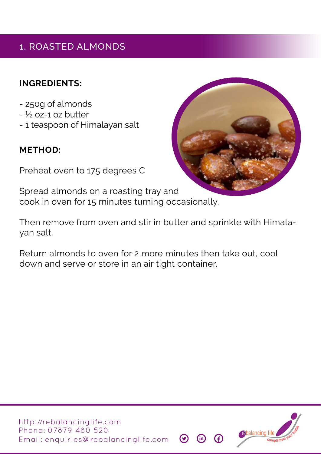# 1. ROASTED ALMONDS

## **INGREDIENTS:**

- 250g of almonds
- $\frac{1}{2}$  oz-1 oz butter
- 1 teaspoon of Himalayan salt

# **METHOD:**

Preheat oven to 175 degrees C

Spread almonds on a roasting tray and cook in oven for 15 minutes turning occasionally.

Then remove from oven and stir in butter and sprinkle with Himalayan salt.

Return almonds to oven for 2 more minutes then take out, cool down and serve or store in an air tight container.





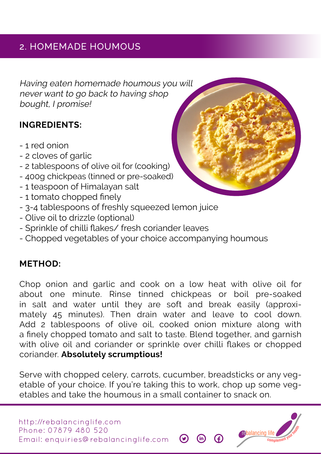# 2. HOMEMADE HOUMOUS

Having eaten homemade houmous you will never want to go back to having shop bought, I promise!

## **INGREDIENTS:**

- 1 red onion
- 2 cloves of garlic
- 2 tablespoons of olive oil for (cooking)
- 400g chickpeas (tinned or pre-soaked)
- 1 teaspoon of Himalayan salt
- 1 tomato chopped finely
- 3-4 tablespoons of freshly squeezed lemon juice
- Olive oil to drizzle (optional)
- Sprinkle of chilli flakes/ fresh coriander leaves
- Chopped vegetables of your choice accompanying houmous

## **METHOD:**

Chop onion and garlic and cook on a low heat with olive oil for about one minute. Rinse tinned chickpeas or boil pre-soaked in salt and water until they are soft and break easily (approximately 45 minutes). Then drain water and leave to cool down. Add 2 tablespoons of olive oil, cooked onion mixture along with a finely chopped tomato and salt to taste. Blend together, and garnish with olive oil and coriander or sprinkle over chilli flakes or chopped coriander. **Absolutely scrumptious!**

Serve with chopped celery, carrots, cucumber, breadsticks or any vegetable of your choice. If you're taking this to work, chop up some vegetables and take the houmous in a small container to snack on.



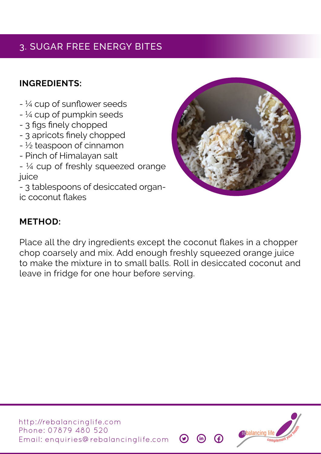# 3. SUGAR FREE ENERGY BITES

# **INGREDIENTS:**

- ¼ cup of sunflower seeds
- $-$  ¼ cup of pumpkin seeds
- 3 figs finely chopped
- 3 apricots finely chopped
- $\frac{1}{2}$  teaspoon of cinnamon
- Pinch of Himalayan salt
- ¼ cup of freshly squeezed orange juice

- 3 tablespoons of desiccated organic coconut flakes



## **METHOD:**

Place all the dry ingredients except the coconut flakes in a chopper chop coarsely and mix. Add enough freshly squeezed orange juice to make the mixture in to small balls. Roll in desiccated coconut and leave in fridge for one hour before serving.



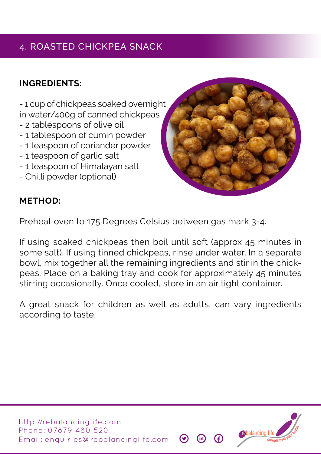# 4. ROASTED CHICKPEA SNACK

# **INGREDIENTS:**

- 1 cup of chickpeas soaked overnight in water/400g of canned chickpeas

- 2 tablespoons of olive oil
- 1 tablespoon of cumin powder
- 1 teaspoon of coriander powder
- 1 teaspoon of garlic salt
- 1 teaspoon of Himalayan salt
- Chilli powder (optional)



#### **METHOD:**

Preheat oven to 175 Degrees Celsius between gas mark 3-4.

If using soaked chickpeas then boil until soft (approx 45 minutes in some salt). If using tinned chickpeas, rinse under water. In a separate bowl, mix together all the remaining ingredients and stir in the chickpeas. Place on a baking tray and cook for approximately 45 minutes stirring occasionally. Once cooled, store in an air tight container.

A great snack for children as well as adults, can vary ingredients according to taste.